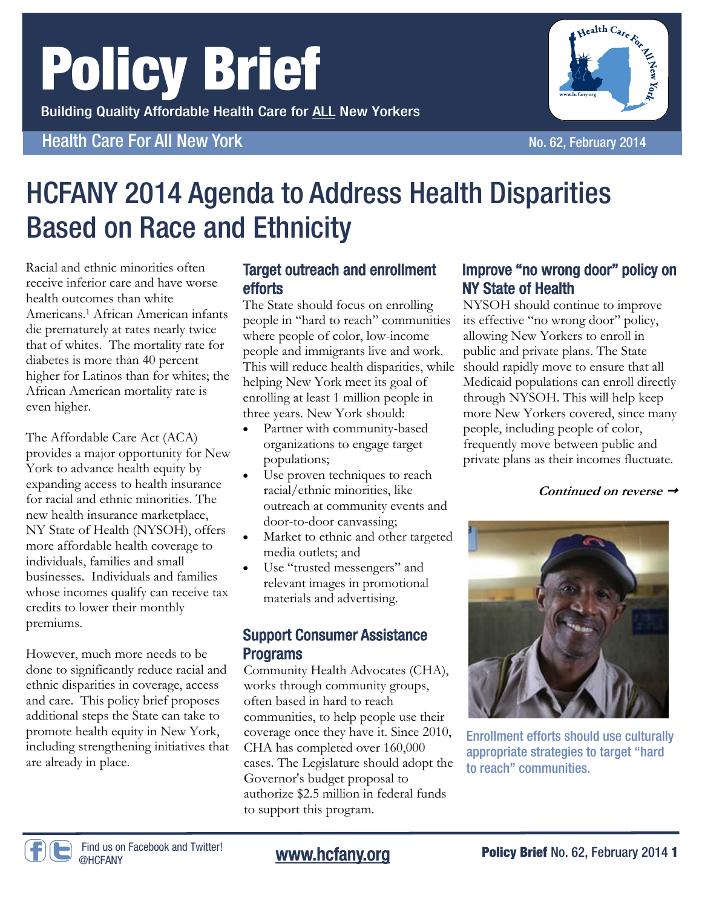# Policy Brief

Building Quality Affordable Health Care for ALL New Yorkers

### Health Care For All New York No. 62, February 2014



### HCFANY 2014 Agenda to Address Health Disparities Based on Race and Ethnicity

Racial and ethnic minorities often receive inferior care and have worse health outcomes than white Americans.1 African American infants die prematurely at rates nearly twice that of whites. The mortality rate for diabetes is more than 40 percent higher for Latinos than for whites; the African American mortality rate is even higher.

The Affordable Care Act (ACA) provides a major opportunity for New York to advance health equity by expanding access to health insurance for racial and ethnic minorities. The new health insurance marketplace, NY State of Health (NYSOH), offers more affordable health coverage to individuals, families and small businesses. Individuals and families whose incomes qualify can receive tax credits to lower their monthly premiums.

However, much more needs to be done to significantly reduce racial and ethnic disparities in coverage, access and care. This policy brief proposes additional steps the State can take to promote health equity in New York, including strengthening initiatives that are already in place.

### Target outreach and enrollment efforts

This will reduce health disparities, while should rapidly move to ensure that all The State should focus on enrolling people in "hard to reach" communities where people of color, low-income people and immigrants live and work. helping New York meet its goal of enrolling at least 1 million people in three years. New York should:

- Partner with community-based organizations to engage target populations;
- Use proven techniques to reach racial/ethnic minorities, like outreach at community events and door-to-door canvassing;
- Market to ethnic and other targeted media outlets; and
- Use "trusted messengers" and relevant images in promotional materials and advertising.

### Support Consumer Assistance Programs

Community Health Advocates (CHA), works through community groups, often based in hard to reach communities, to help people use their coverage once they have it. Since 2010, CHA has completed over 160,000 cases. The Legislature should adopt the Governor's budget proposal to authorize \$2.5 million in federal funds to support this program.

#### Improve "no wrong door" policy on NY State of Health

NYSOH should continue to improve its effective "no wrong door" policy, allowing New Yorkers to enroll in public and private plans. The State Medicaid populations can enroll directly through NYSOH. This will help keep more New Yorkers covered, since many people, including people of color, frequently move between public and private plans as their incomes fluctuate.

**Continued on reverse** 



Enrollment efforts should use culturally appropriate strategies to target "hard to reach" communities.